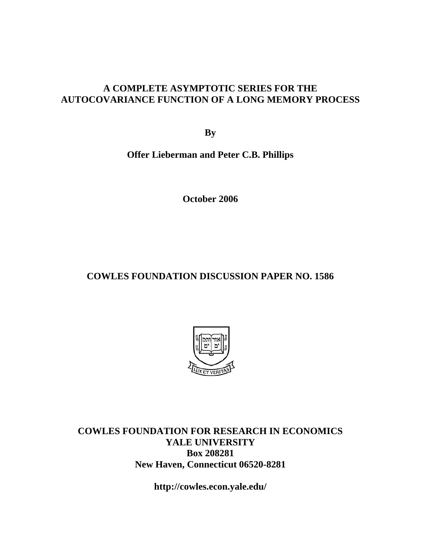### **A COMPLETE ASYMPTOTIC SERIES FOR THE AUTOCOVARIANCE FUNCTION OF A LONG MEMORY PROCESS**

**By** 

**Offer Lieberman and Peter C.B. Phillips** 

**October 2006** 

# **COWLES FOUNDATION DISCUSSION PAPER NO. 1586**



**COWLES FOUNDATION FOR RESEARCH IN ECONOMICS YALE UNIVERSITY Box 208281 New Haven, Connecticut 06520-8281** 

**http://cowles.econ.yale.edu/**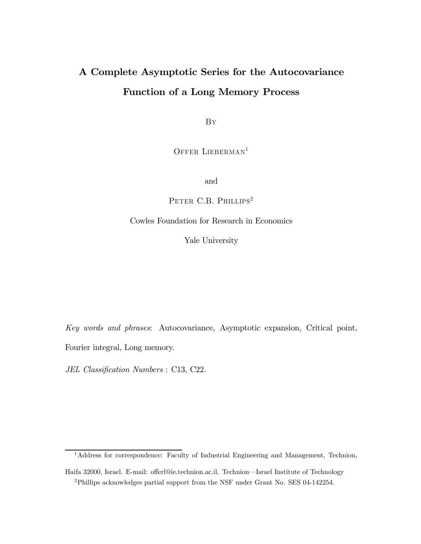# A Complete Asymptotic Series for the Autocovariance Function of a Long Memory Process

By

OFFER LIEBERMAN<sup>1</sup>

and

PETER C.B. PHILLIPS<sup>2</sup>

#### Cowles Foundation for Research in Economics

Yale University

Key words and phrases: Autocovariance, Asymptotic expansion, Critical point, Fourier integral, Long memory.

JEL Classification Numbers : C13, C22.

<sup>&</sup>lt;sup>1</sup>Address for correspondence: Faculty of Industrial Engineering and Management, Technion,

Haifa 32000, Israel. E-mail: offerl@ie.technion.ac.il. Technion–Israel Institute of Technology 2Phillips acknowledges partial support from the NSF under Grant No. SES 04-142254.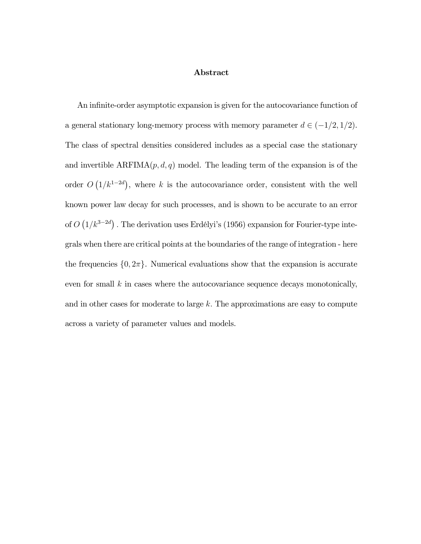#### Abstract

An infinite-order asymptotic expansion is given for the autocovariance function of a general stationary long-memory process with memory parameter  $d \in (-1/2, 1/2)$ . The class of spectral densities considered includes as a special case the stationary and invertible  $ARFIMA(p, d, q)$  model. The leading term of the expansion is of the order  $O(1/k^{1-2d})$ , where k is the autocovariance order, consistent with the well known power law decay for such processes, and is shown to be accurate to an error of  $O(1/k^{3-2d})$ . The derivation uses Erdélyi's (1956) expansion for Fourier-type integrals when there are critical points at the boundaries of the range of integration - here the frequencies  $\{0, 2\pi\}$ . Numerical evaluations show that the expansion is accurate even for small  $k$  in cases where the autocovariance sequence decays monotonically, and in other cases for moderate to large  $k$ . The approximations are easy to compute across a variety of parameter values and models.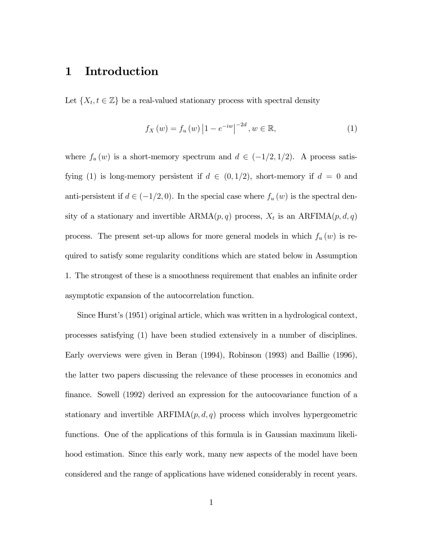### 1 Introduction

Let  $\{X_t, t \in \mathbb{Z}\}\$  be a real-valued stationary process with spectral density

$$
f_X(w) = f_u(w) |1 - e^{-iw}|^{-2d}, w \in \mathbb{R},
$$
\n(1)

where  $f_u(w)$  is a short-memory spectrum and  $d \in (-1/2, 1/2)$ . A process satisfying (1) is long-memory persistent if  $d \in (0,1/2)$ , short-memory if  $d = 0$  and anti-persistent if  $d \in (-1/2, 0)$ . In the special case where  $f_u(w)$  is the spectral density of a stationary and invertible  $ARMA(p, q)$  process,  $X_t$  is an  $ARFIMA(p, d, q)$ process. The present set-up allows for more general models in which  $f_u(w)$  is required to satisfy some regularity conditions which are stated below in Assumption 1. The strongest of these is a smoothness requirement that enables an infinite order asymptotic expansion of the autocorrelation function.

Since Hurst's (1951) original article, which was written in a hydrological context, processes satisfying (1) have been studied extensively in a number of disciplines. Early overviews were given in Beran (1994), Robinson (1993) and Baillie (1996), the latter two papers discussing the relevance of these processes in economics and finance. Sowell (1992) derived an expression for the autocovariance function of a stationary and invertible  $ARFIMA(p, d, q)$  process which involves hypergeometric functions. One of the applications of this formula is in Gaussian maximum likelihood estimation. Since this early work, many new aspects of the model have been considered and the range of applications have widened considerably in recent years.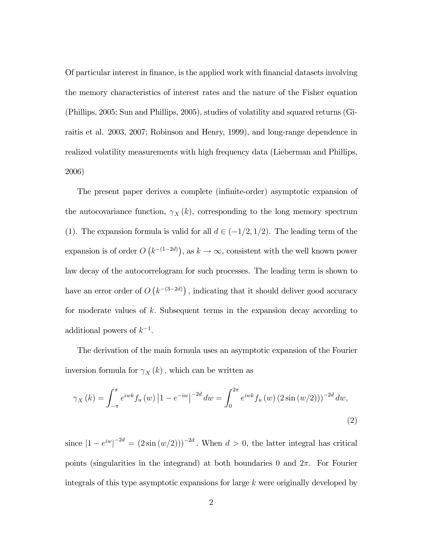Of particular interest in finance, is the applied work with financial datasets involving the memory characteristics of interest rates and the nature of the Fisher equation (Phillips, 2005; Sun and Phillips, 2005), studies of volatility and squared returns (Giraitis et al. 2003, 2007; Robinson and Henry, 1999), and long-range dependence in realized volatility measurements with high frequency data (Lieberman and Phillips, 2006)

The present paper derives a complete (infinite-order) asymptotic expansion of the autocovariance function,  $\gamma_X(k)$ , corresponding to the long memory spectrum (1). The expansion formula is valid for all  $d \in (-1/2, 1/2)$ . The leading term of the expansion is of order  $O(k^{-(1-2d)})$ , as  $k \to \infty$ , consistent with the well known power law decay of the autocorrelogram for such processes. The leading term is shown to have an error order of  $O(k^{-(3-2d)})$ , indicating that it should deliver good accuracy for moderate values of  $k$ . Subsequent terms in the expansion decay according to additional powers of  $k^{-1}$ .

The derivation of the main formula uses an asymptotic expansion of the Fourier inversion formula for  $\gamma_X(k)$ , which can be written as

$$
\gamma_X(k) = \int_{-\pi}^{\pi} e^{iwk} f_u(w) \left| 1 - e^{-iw} \right|^{-2d} dw = \int_0^{2\pi} e^{iwk} f_u(w) \left( 2\sin(w/2) \right)^{-2d} dw,
$$
\n(2)

since  $|1 - e^{iw}|^{-2d} = (2 \sin(w/2)))^{-2d}$ . When  $d > 0$ , the latter integral has critical points (singularities in the integrand) at both boundaries 0 and  $2\pi$ . For Fourier integrals of this type asymptotic expansions for large k were originally developed by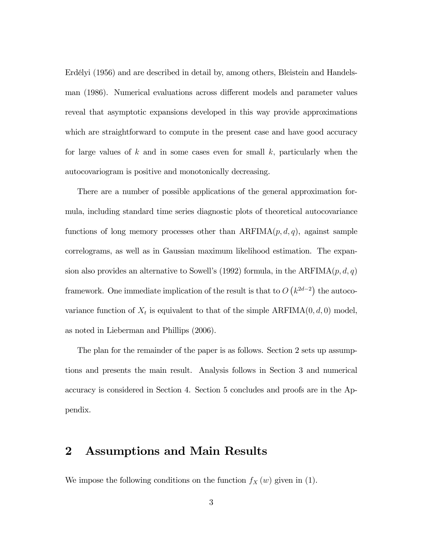Erdélyi (1956) and are described in detail by, among others, Bleistein and Handelsman (1986). Numerical evaluations across different models and parameter values reveal that asymptotic expansions developed in this way provide approximations which are straightforward to compute in the present case and have good accuracy for large values of k and in some cases even for small  $k$ , particularly when the autocovariogram is positive and monotonically decreasing.

There are a number of possible applications of the general approximation formula, including standard time series diagnostic plots of theoretical autocovariance functions of long memory processes other than  $ARFIMA(p, d, q)$ , against sample correlograms, as well as in Gaussian maximum likelihood estimation. The expansion also provides an alternative to Sowell's (1992) formula, in the  $ARFIMA(p, d, q)$ framework. One immediate implication of the result is that to  $O(k^{2d-2})$  the autocovariance function of  $X_t$  is equivalent to that of the simple  $ARFIMA(0, d, 0)$  model, as noted in Lieberman and Phillips (2006).

The plan for the remainder of the paper is as follows. Section 2 sets up assumptions and presents the main result. Analysis follows in Section 3 and numerical accuracy is considered in Section 4. Section 5 concludes and proofs are in the Appendix.

### 2 Assumptions and Main Results

We impose the following conditions on the function  $f_X(w)$  given in (1).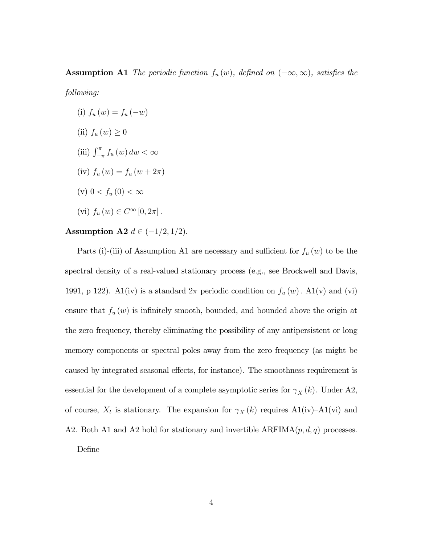## **Assumption A1** The periodic function  $f_u(w)$ , defined on  $(-\infty, \infty)$ , satisfies the

following:

(i)  $f_u(w) = f_u(-w)$ (ii)  $f_u(w) \geq 0$ (iii)  $\int_{-\pi}^{\pi} f_u(w) \, dw < \infty$ (iv)  $f_u(w) = f_u(w + 2\pi)$ (v)  $0 < f_u(0) < \infty$ (vi)  $f_u(w) \in C^{\infty}[0, 2\pi]$ .

# Assumption A2  $d \in (-1/2, 1/2)$ .

Parts (i)-(iii) of Assumption A1 are necessary and sufficient for  $f_u(w)$  to be the spectral density of a real-valued stationary process (e.g., see Brockwell and Davis, 1991, p 122). A1(iv) is a standard  $2\pi$  periodic condition on  $f_u(w)$ . A1(v) and (vi) ensure that  $f_u(w)$  is infinitely smooth, bounded, and bounded above the origin at the zero frequency, thereby eliminating the possibility of any antipersistent or long memory components or spectral poles away from the zero frequency (as might be caused by integrated seasonal effects, for instance). The smoothness requirement is essential for the development of a complete asymptotic series for  $\gamma_X(k)$ . Under A2, of course,  $X_t$  is stationary. The expansion for  $\gamma_X(k)$  requires A1(iv)–A1(vi) and A2. Both A1 and A2 hold for stationary and invertible  $ARFIMA(p, d, q)$  processes. Define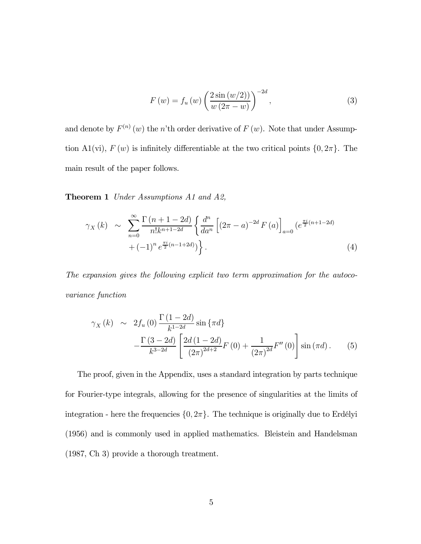$$
F(w) = f_u(w) \left( \frac{2 \sin (w/2)}{w (2\pi - w)} \right)^{-2d}, \tag{3}
$$

and denote by  $F^{(n)}(w)$  the n'th order derivative of  $F(w)$ . Note that under Assumption A1(vi),  $F(w)$  is infinitely differentiable at the two critical points  $\{0, 2\pi\}$ . The main result of the paper follows.

Theorem 1 Under Assumptions A1 and A2,

$$
\gamma_X(k) \sim \sum_{n=0}^{\infty} \frac{\Gamma(n+1-2d)}{n!k^{n+1-2d}} \left\{ \frac{d^n}{da^n} \left[ (2\pi - a)^{-2d} F(a) \right]_{a=0} \left( e^{\frac{\pi i}{2}(n+1-2d)} + (-1)^n e^{\frac{\pi i}{2}(n-1+2d)} \right) \right\}.
$$
\n(4)

The expansion gives the following explicit two term approximation for the autocovariance function

$$
\gamma_X(k) \sim 2f_u(0) \frac{\Gamma(1-2d)}{k^{1-2d}} \sin{\{\pi d\}}
$$

$$
-\frac{\Gamma(3-2d)}{k^{3-2d}} \left[ \frac{2d(1-2d)}{(2\pi)^{2d+2}} F(0) + \frac{1}{(2\pi)^{2d}} F''(0) \right] \sin{(\pi d)}.
$$
(5)

The proof, given in the Appendix, uses a standard integration by parts technique for Fourier-type integrals, allowing for the presence of singularities at the limits of integration - here the frequencies  $\{0, 2\pi\}$ . The technique is originally due to Erdélyi (1956) and is commonly used in applied mathematics. Bleistein and Handelsman (1987, Ch 3) provide a thorough treatment.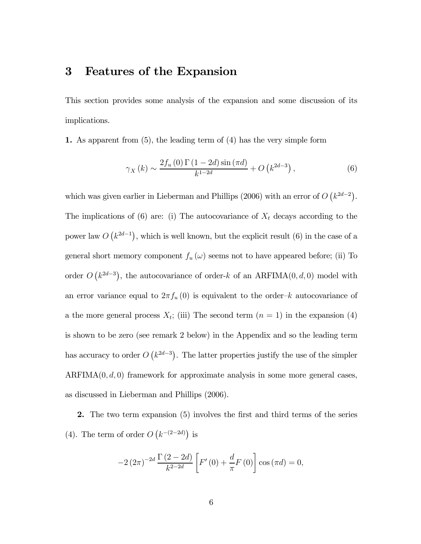### 3 Features of the Expansion

This section provides some analysis of the expansion and some discussion of its implications.

1. As apparent from (5), the leading term of (4) has the very simple form

$$
\gamma_X(k) \sim \frac{2f_u(0) \Gamma(1 - 2d) \sin(\pi d)}{k^{1 - 2d}} + O\left(k^{2d - 3}\right),\tag{6}
$$

which was given earlier in Lieberman and Phillips (2006) with an error of  $O(k^{2d-2})$ . The implications of (6) are: (i) The autocovariance of  $X_t$  decays according to the power law  $O(k^{2d-1})$ , which is well known, but the explicit result (6) in the case of a general short memory component  $f_u(\omega)$  seems not to have appeared before; (ii) To order  $O(k^{2d-3})$ , the autocovariance of order-k of an ARFIMA $(0, d, 0)$  model with an error variance equal to  $2\pi f_u(0)$  is equivalent to the order-k autocovariance of a the more general process  $X_t$ ; (iii) The second term  $(n = 1)$  in the expansion (4) is shown to be zero (see remark 2 below) in the Appendix and so the leading term has accuracy to order  $O(k^{2d-3})$ . The latter properties justify the use of the simpler  $ARFIMA(0, d, 0)$  framework for approximate analysis in some more general cases, as discussed in Lieberman and Phillips (2006).

2. The two term expansion (5) involves the first and third terms of the series (4). The term of order  $O(k^{-(2-2d)})$  is

$$
-2(2\pi)^{-2d} \frac{\Gamma(2-2d)}{k^{2-2d}} \left[ F'(0) + \frac{d}{\pi} F(0) \right] \cos(\pi d) = 0,
$$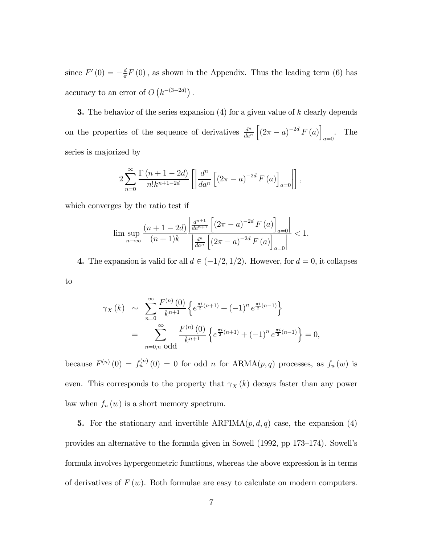since  $F'(0) = -\frac{d}{\pi}F(0)$ , as shown in the Appendix. Thus the leading term (6) has accuracy to an error of  $O(k^{-(3-2d)})$ .

**3.** The behavior of the series expansion  $(4)$  for a given value of k clearly depends on the properties of the sequence of derivatives  $\frac{d^n}{da^n}$  $\left[\left(2\pi - a\right)^{-2d} F\left(a\right)\right]$  $_{a=0}$ . The series is majorized by

$$
2\sum_{n=0}^{\infty} \frac{\Gamma(n+1-2d)}{n!k^{n+1-2d}} \left[ \left| \frac{d^n}{da^n} \left[ (2\pi - a)^{-2d} F(a) \right]_{a=0} \right| \right],
$$

which converges by the ratio test if

$$
\limsup_{n \to \infty} \frac{(n+1-2d)}{(n+1)k} \frac{\left| \frac{d^{n+1}}{da^{n+1}} \left[ (2\pi - a)^{-2d} F\left( a \right) \right]_{a=0} \right|}{\left| \frac{d^n}{da^n} \left[ (2\pi - a)^{-2d} F\left( a \right) \right]_{a=0} \right|} < 1.
$$

4. The expansion is valid for all  $d \in (-1/2, 1/2)$ . However, for  $d = 0$ , it collapses

to

$$
\gamma_X(k) \sim \sum_{n=0}^{\infty} \frac{F^{(n)}(0)}{k^{n+1}} \left\{ e^{\frac{\pi i}{2}(n+1)} + (-1)^n e^{\frac{\pi i}{2}(n-1)} \right\}
$$
  
= 
$$
\sum_{n=0,n \text{ odd}}^{\infty} \frac{F^{(n)}(0)}{k^{n+1}} \left\{ e^{\frac{\pi i}{2}(n+1)} + (-1)^n e^{\frac{\pi i}{2}(n-1)} \right\} = 0,
$$

because  $F^{(n)}(0) = f_u^{(n)}(0) = 0$  for odd n for  $ARMA(p, q)$  processes, as  $f_u(w)$  is even. This corresponds to the property that  $\gamma_X(k)$  decays faster than any power law when  $f_u(w)$  is a short memory spectrum.

5. For the stationary and invertible  $ARFIMA(p, d, q)$  case, the expansion (4) provides an alternative to the formula given in Sowell (1992, pp 173—174). Sowell's formula involves hypergeometric functions, whereas the above expression is in terms of derivatives of  $F(w)$ . Both formulae are easy to calculate on modern computers.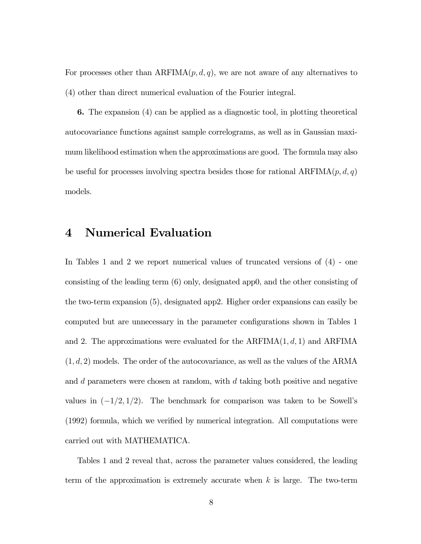For processes other than  $ARFIMA(p, d, q)$ , we are not aware of any alternatives to (4) other than direct numerical evaluation of the Fourier integral.

6. The expansion (4) can be applied as a diagnostic tool, in plotting theoretical autocovariance functions against sample correlograms, as well as in Gaussian maximum likelihood estimation when the approximations are good. The formula may also be useful for processes involving spectra besides those for rational  $ARFIMA(p, d, q)$ models.

## 4 Numerical Evaluation

In Tables 1 and 2 we report numerical values of truncated versions of (4) - one consisting of the leading term (6) only, designated app0, and the other consisting of the two-term expansion (5), designated app2. Higher order expansions can easily be computed but are unnecessary in the parameter configurations shown in Tables 1 and 2. The approximations were evaluated for the  $ARFIMA(1, d, 1)$  and  $ARFIMA$  $(1, d, 2)$  models. The order of the autocovariance, as well as the values of the ARMA and d parameters were chosen at random, with d taking both positive and negative values in  $(-1/2, 1/2)$ . The benchmark for comparison was taken to be Sowell's (1992) formula, which we verified by numerical integration. All computations were carried out with MATHEMATICA.

Tables 1 and 2 reveal that, across the parameter values considered, the leading term of the approximation is extremely accurate when  $k$  is large. The two-term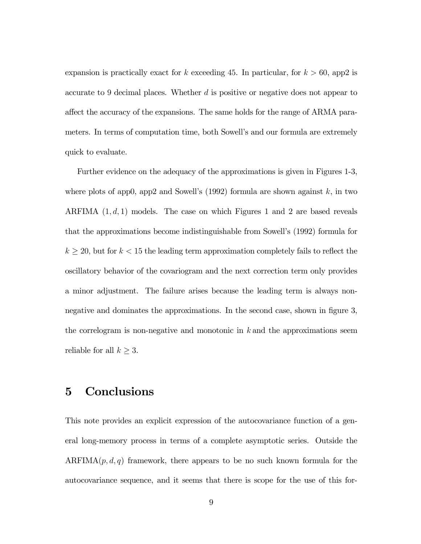expansion is practically exact for k exceeding 45. In particular, for  $k > 60$ , app2 is accurate to 9 decimal places. Whether d is positive or negative does not appear to affect the accuracy of the expansions. The same holds for the range of ARMA parameters. In terms of computation time, both Sowell's and our formula are extremely quick to evaluate.

Further evidence on the adequacy of the approximations is given in Figures 1-3, where plots of app0, app2 and Sowell's  $(1992)$  formula are shown against k, in two ARFIMA  $(1, d, 1)$  models. The case on which Figures 1 and 2 are based reveals that the approximations become indistinguishable from Sowell's (1992) formula for  $k \geq 20$ , but for  $k < 15$  the leading term approximation completely fails to reflect the oscillatory behavior of the covariogram and the next correction term only provides a minor adjustment. The failure arises because the leading term is always nonnegative and dominates the approximations. In the second case, shown in figure 3, the correlogram is non-negative and monotonic in  $k$  and the approximations seem reliable for all  $k \geq 3$ .

## 5 Conclusions

This note provides an explicit expression of the autocovariance function of a general long-memory process in terms of a complete asymptotic series. Outside the ARFIMA $(p, d, q)$  framework, there appears to be no such known formula for the autocovariance sequence, and it seems that there is scope for the use of this for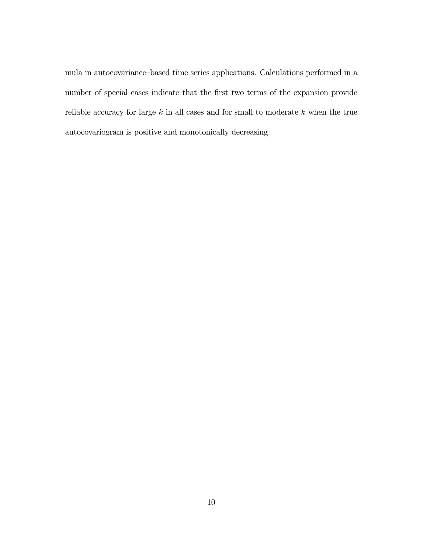mula in autocovariance—based time series applications. Calculations performed in a number of special cases indicate that the first two terms of the expansion provide reliable accuracy for large  $k$  in all cases and for small to moderate  $k$  when the true autocovariogram is positive and monotonically decreasing.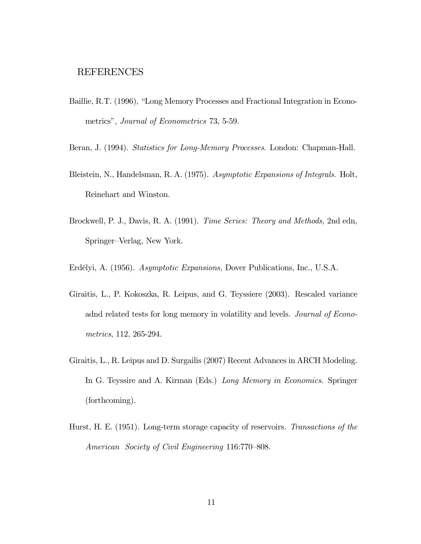### REFERENCES

- Baillie, R.T. (1996), "Long Memory Processes and Fractional Integration in Econometrics", Journal of Econometrics 73, 5-59.
- Beran, J. (1994). Statistics for Long-Memory Processes. London: Chapman-Hall.
- Bleistein, N., Handelsman, R. A. (1975). Asymptotic Expansions of Integrals. Holt, Reinehart and Winston.
- Brockwell, P. J., Davis, R. A. (1991). Time Series: Theory and Methods, 2nd edn, Springer—Verlag, New York.
- Erdélyi, A. (1956). Asymptotic Expansions, Dover Publications, Inc., U.S.A.
- Giraitis, L., P. Kokoszka, R. Leipus, and G. Teyssiere (2003). Rescaled variance adnd related tests for long memory in volatility and levels. Journal of Econometrics, 112, 265-294.
- Giraitis, L., R. Leipus and D. Surgailis (2007) Recent Advances in ARCH Modeling. In G. Teyssire and A. Kirman (Eds.) Long Memory in Economics. Springer (forthcoming).
- Hurst, H. E. (1951). Long-term storage capacity of reservoirs. Transactions of the American Society of Civil Engineering 116:770—808.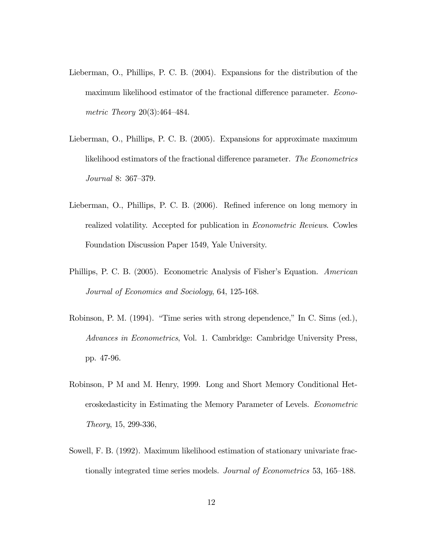- Lieberman, O., Phillips, P. C. B. (2004). Expansions for the distribution of the maximum likelihood estimator of the fractional difference parameter. Econometric Theory 20(3):464—484.
- Lieberman, O., Phillips, P. C. B. (2005). Expansions for approximate maximum likelihood estimators of the fractional difference parameter. The Econometrics Journal 8: 367—379.
- Lieberman, O., Phillips, P. C. B. (2006). Refined inference on long memory in realized volatility. Accepted for publication in Econometric Reviews. Cowles Foundation Discussion Paper 1549, Yale University.
- Phillips, P. C. B. (2005). Econometric Analysis of Fisher's Equation. American Journal of Economics and Sociology, 64, 125-168.
- Robinson, P. M. (1994). "Time series with strong dependence," In C. Sims (ed.), Advances in Econometrics, Vol. 1. Cambridge: Cambridge University Press, pp. 47-96.
- Robinson, P M and M. Henry, 1999. Long and Short Memory Conditional Heteroskedasticity in Estimating the Memory Parameter of Levels. Econometric Theory, 15, 299-336,
- Sowell, F. B. (1992). Maximum likelihood estimation of stationary univariate fractionally integrated time series models. Journal of Econometrics 53, 165—188.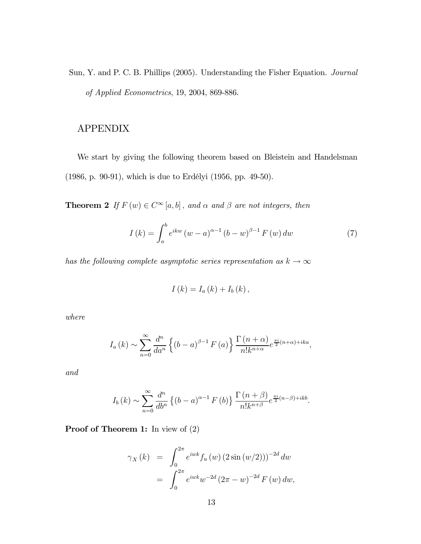Sun, Y. and P. C. B. Phillips (2005). Understanding the Fisher Equation. Journal of Applied Econometrics, 19, 2004, 869-886.

### APPENDIX

We start by giving the following theorem based on Bleistein and Handelsman (1986, p. 90-91), which is due to Erdélyi (1956, pp. 49-50).

**Theorem 2** If  $F(w) \in C^{\infty}[a, b]$ , and  $\alpha$  and  $\beta$  are not integers, then

$$
I(k) = \int_{a}^{b} e^{ikw} (w - a)^{\alpha - 1} (b - w)^{\beta - 1} F(w) dw \tag{7}
$$

has the following complete asymptotic series representation as  $k\to\infty$ 

$$
I(k) = I_a(k) + I_b(k),
$$

where

$$
I_{a}(k) \sim \sum_{n=0}^{\infty} \frac{d^{n}}{da^{n}} \left\{ (b-a)^{\beta-1} F(a) \right\} \frac{\Gamma(n+\alpha)}{n! k^{n+\alpha}} e^{\frac{\pi i}{2}(n+\alpha) + ika},
$$

and

$$
I_b(k) \sim \sum_{n=0}^{\infty} \frac{d^n}{db^n} \left\{ (b-a)^{\alpha-1} F(b) \right\} \frac{\Gamma(n+\beta)}{n! k^{n+\beta}} e^{\frac{\pi i}{2}(n-\beta) + ikb}.
$$

Proof of Theorem 1: In view of  $(2)$ 

$$
\gamma_X(k) = \int_0^{2\pi} e^{iwk} f_u(w) (2 \sin(w/2)))^{-2d} dw
$$
  
= 
$$
\int_0^{2\pi} e^{iwk} w^{-2d} (2\pi - w)^{-2d} F(w) dw,
$$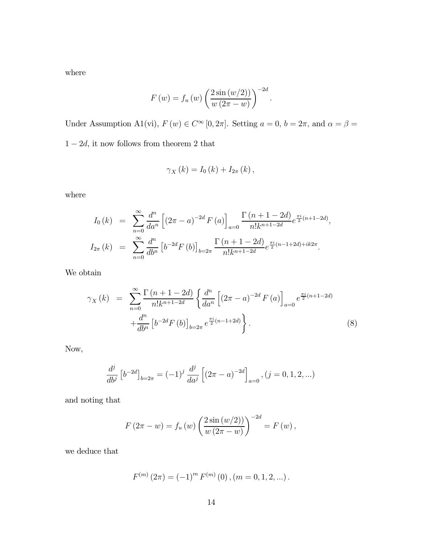where

$$
F(w) = f_u(w) \left( \frac{2 \sin(w/2))}{w (2\pi - w)} \right)^{-2d}.
$$

Under Assumption A1(vi),  $F(w) \in C^{\infty}[0, 2\pi]$ . Setting  $a = 0$ ,  $b = 2\pi$ , and  $\alpha = \beta =$  $1-2d,$  it now follows from theorem  $2$  that

$$
\gamma_{X}\left(k\right)=I_{0}\left(k\right)+I_{2\pi}\left(k\right),\,
$$

where

$$
I_0(k) = \sum_{n=0}^{\infty} \frac{d^n}{da^n} \left[ (2\pi - a)^{-2d} F(a) \right]_{a=0} \frac{\Gamma(n+1-2d)}{n!k^{n+1-2d}} e^{\frac{\pi i}{2}(n+1-2d)},
$$
  

$$
I_{2\pi}(k) = \sum_{n=0}^{\infty} \frac{d^n}{db^n} \left[ b^{-2d} F(b) \right]_{b=2\pi} \frac{\Gamma(n+1-2d)}{n!k^{n+1-2d}} e^{\frac{\pi i}{2}(n-1+2d)+ik2\pi}.
$$

We obtain

$$
\gamma_X(k) = \sum_{n=0}^{\infty} \frac{\Gamma(n+1-2d)}{n!k^{n+1-2d}} \left\{ \frac{d^n}{da^n} \left[ (2\pi - a)^{-2d} F(a) \right]_{a=0} e^{\frac{\pi i}{2}(n+1-2d)} + \frac{d^n}{db^n} \left[ b^{-2d} F(b) \right]_{b=2\pi} e^{\frac{\pi i}{2}(n-1+2d)} \right\}.
$$
\n(8)

Now,

$$
\frac{d^{j}}{db^{j}} \left[ b^{-2d} \right]_{b=2\pi} = (-1)^{j} \frac{d^{j}}{da^{j}} \left[ \left( 2\pi - a \right)^{-2d} \right]_{a=0}, (j = 0, 1, 2, \ldots)
$$

and noting that

$$
F(2\pi - w) = f_u(w) \left( \frac{2 \sin (w/2)}{w (2\pi - w)} \right)^{-2d} = F(w),
$$

we deduce that

$$
F^{(m)}(2\pi) = (-1)^m F^{(m)}(0), (m = 0, 1, 2, ...).
$$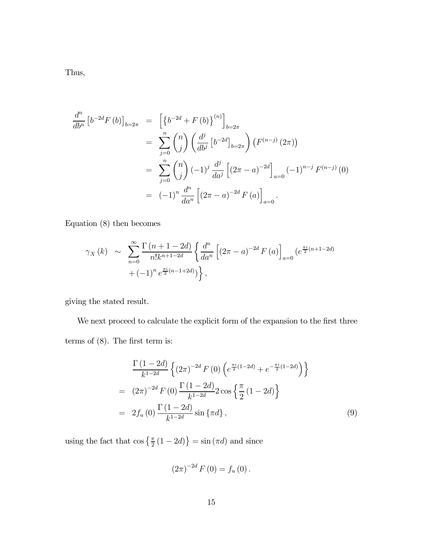Thus,

$$
\frac{d^n}{db^n} \left[ b^{-2d} F(b) \right]_{b=2\pi} = \left[ \left\{ b^{-2d} + F(b) \right\}^{(n)} \right]_{b=2\pi}
$$
  
\n
$$
= \sum_{j=0}^n {n \choose j} \left( \frac{d^j}{db^j} \left[ b^{-2d} \right]_{b=2\pi} \right) \left( F^{(n-j)} (2\pi) \right)
$$
  
\n
$$
= \sum_{j=0}^n {n \choose j} (-1)^j \frac{d^j}{da^j} \left[ (2\pi - a)^{-2d} \right]_{a=0} (-1)^{n-j} F^{(n-j)} (0)
$$
  
\n
$$
= (-1)^n \frac{d^n}{da^n} \left[ (2\pi - a)^{-2d} F(a) \right]_{a=0}.
$$

Equation (8) then becomes

$$
\gamma_X(k) \sim \sum_{n=0}^{\infty} \frac{\Gamma(n+1-2d)}{n!k^{n+1-2d}} \left\{ \frac{d^n}{da^n} \left[ (2\pi - a)^{-2d} F(a) \right]_{a=0} \left( e^{\frac{\pi i}{2}(n+1-2d)} + (-1)^n e^{\frac{\pi i}{2}(n-1+2d)} \right) \right\},
$$

giving the stated result.

We next proceed to calculate the explicit form of the expansion to the first three terms of (8). The first term is:

$$
\frac{\Gamma(1-2d)}{k^{1-2d}} \left\{ (2\pi)^{-2d} F(0) \left( e^{\frac{\pi i}{2}(1-2d)} + e^{-\frac{\pi i}{2}(1-2d)} \right) \right\}
$$
\n
$$
= (2\pi)^{-2d} F(0) \frac{\Gamma(1-2d)}{k^{1-2d}} 2 \cos \left\{ \frac{\pi}{2} (1-2d) \right\}
$$
\n
$$
= 2f_u(0) \frac{\Gamma(1-2d)}{k^{1-2d}} \sin \left\{ \pi d \right\}, \tag{9}
$$

using the fact that  $\cos\left\{\frac{\pi}{2}(1-2d)\right\} = \sin(\pi d)$  and since

$$
(2\pi)^{-2d} F(0) = f_u(0) .
$$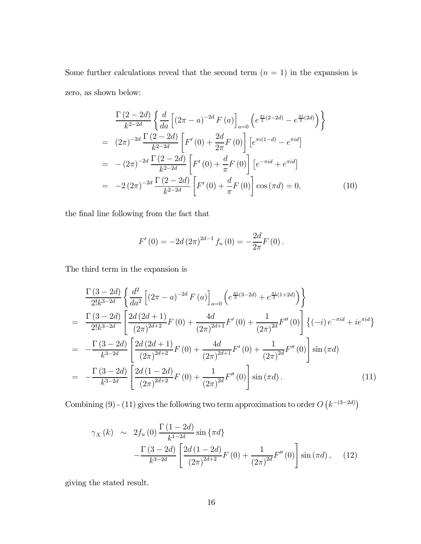Some further calculations reveal that the second term  $(n = 1)$  in the expansion is zero, as shown below:

$$
\frac{\Gamma(2-2d)}{k^{2-2d}} \left\{ \frac{d}{da} \left[ (2\pi - a)^{-2d} F(a) \right]_{a=0} \left( e^{\frac{\pi i}{2}(2-2d)} - e^{\frac{\pi i}{2}(2d)} \right) \right\}
$$
\n
$$
= (2\pi)^{-2d} \frac{\Gamma(2-2d)}{k^{2-2d}} \left[ F'(0) + \frac{2d}{2\pi} F(0) \right] \left[ e^{\pi i (1-d)} - e^{\pi i d} \right]
$$
\n
$$
= -(2\pi)^{-2d} \frac{\Gamma(2-2d)}{k^{2-2d}} \left[ F'(0) + \frac{d}{\pi} F(0) \right] \left[ e^{-\pi i d} + e^{\pi i d} \right]
$$
\n
$$
= -2 (2\pi)^{-2d} \frac{\Gamma(2-2d)}{k^{2-2d}} \left[ F'(0) + \frac{d}{\pi} F(0) \right] \cos(\pi d) = 0, \qquad (10)
$$

the final line following from the fact that

$$
F'(0) = -2d (2\pi)^{2d-1} f_u(0) = -\frac{2d}{2\pi} F(0).
$$

The third term in the expansion is

$$
\frac{\Gamma(3-2d)}{2!k^{3-2d}} \left\{ \frac{d^2}{da^2} \left[ (2\pi - a)^{-2d} F(a) \right]_{a=0} \left( e^{\frac{\pi i}{2}(3-2d)} + e^{\frac{\pi i}{2}(1+2d)} \right) \right\}
$$
\n
$$
= \frac{\Gamma(3-2d)}{2!k^{3-2d}} \left[ \frac{2d(2d+1)}{(2\pi)^{2d+2}} F(0) + \frac{4d}{(2\pi)^{2d+1}} F'(0) + \frac{1}{(2\pi)^{2d}} F''(0) \right] \left\{ (-i) e^{-\pi i d} + i e^{\pi i d} \right\}
$$
\n
$$
= -\frac{\Gamma(3-2d)}{k^{3-2d}} \left[ \frac{2d(2d+1)}{(2\pi)^{2d+2}} F(0) + \frac{4d}{(2\pi)^{2d+1}} F'(0) + \frac{1}{(2\pi)^{2d}} F''(0) \right] \sin(\pi d)
$$
\n
$$
= -\frac{\Gamma(3-2d)}{k^{3-2d}} \left[ \frac{2d(1-2d)}{(2\pi)^{2d+2}} F(0) + \frac{1}{(2\pi)^{2d}} F''(0) \right] \sin(\pi d). \tag{11}
$$

Combining (9) - (11) gives the following two term approximation to order  $O(k^{-(3-2d)})$ 

$$
\gamma_X(k) \sim 2f_u(0) \frac{\Gamma(1-2d)}{k^{1-2d}} \sin{\pi d}
$$

$$
-\frac{\Gamma(3-2d)}{k^{3-2d}} \left[ \frac{2d(1-2d)}{(2\pi)^{2d+2}} F(0) + \frac{1}{(2\pi)^{2d}} F''(0) \right] \sin(\pi d), \quad (12)
$$

giving the stated result.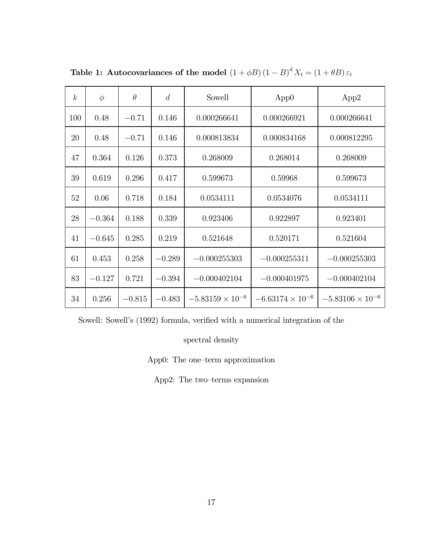| k <sub>1</sub> | $\phi$   | $\theta$ | $\overline{d}$ | Sowell                     | App0                      | App2                      |
|----------------|----------|----------|----------------|----------------------------|---------------------------|---------------------------|
| 100            | 0.48     | $-0.71$  | 0.146          | 0.000266641                | 0.000266921               | 0.000266641               |
| 20             | 0.48     | $-0.71$  | 0.146          | 0.000813834<br>0.000834168 |                           | 0.000812295               |
| 47             | 0.364    | 0.126    | 0.373          | 0.268009                   | 0.268014                  |                           |
| 39             | 0.619    | 0.296    | 0.417          | 0.599673                   | 0.59968                   |                           |
| 52             | 0.06     | 0.718    | 0.184          | 0.0534111<br>0.0534076     |                           | 0.0534111                 |
| 28             | $-0.364$ | 0.188    | 0.339          | 0.923406                   | 0.922897                  |                           |
| 41             | $-0.645$ | 0.285    | 0.219          | 0.521648                   | 0.520171                  | 0.521604                  |
| 61             | 0.453    | 0.258    | $-0.289$       | $-0.000255303$             | $-0.000255311$            | $-0.000255303$            |
| 83             | $-0.127$ | 0.721    | $-0.394$       | $-0.000402104$             | $-0.000401975$            | $-0.000402104$            |
| 34             | 0.256    | $-0.815$ | $-0.483$       | $-5.83159 \times 10^{-6}$  | $-6.63174 \times 10^{-6}$ | $-5.83106 \times 10^{-6}$ |

Table 1: Autocovariances of the model  $\left(1+\phi B\right)\left(1-B\right)^{d}X_{t}=\left(1+\theta B\right)\varepsilon_{t}$ 

Sowell: Sowell's (1992) formula, verified with a numerical integration of the

spectral density

App0: The one—term approximation

App2: The two—terms expansion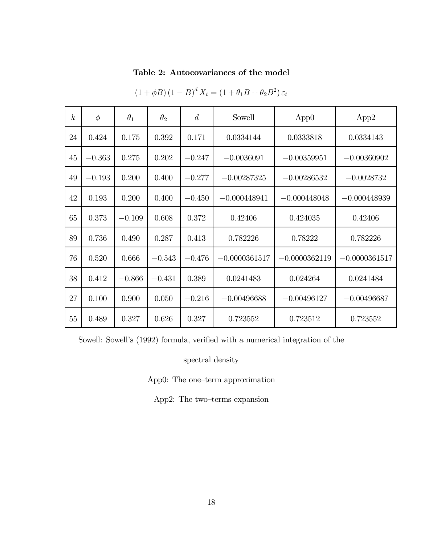### Table 2: Autocovariances of the model

| $\boldsymbol{k}$ | $\phi$   | $\theta_1$ | $\theta_{2}$ | $\overline{d}$ | Sowell          | App0            | App2            |
|------------------|----------|------------|--------------|----------------|-----------------|-----------------|-----------------|
| 24               | 0.424    | 0.175      | 0.392        | 0.171          | 0.0334144       | 0.0333818       | 0.0334143       |
| 45               | $-0.363$ | 0.275      | 0.202        | $-0.247$       | $-0.0036091$    | $-0.00359951$   | $-0.00360902$   |
| 49               | $-0.193$ | 0.200      | 0.400        | $-0.277$       | $-0.00287325$   | $-0.00286532$   | $-0.0028732$    |
| 42               | 0.193    | 0.200      | 0.400        | $-0.450$       | $-0.000448941$  | $-0.000448048$  | $-0.000448939$  |
| 65               | 0.373    | $-0.109$   | 0.608        | 0.372          | 0.42406         | 0.424035        | 0.42406         |
| 89               | 0.736    | 0.490      | 0.287        | 0.413          | 0.782226        | 0.78222         | 0.782226        |
| 76               | 0.520    | 0.666      | $-0.543$     | $-0.476$       | $-0.0000361517$ | $-0.0000362119$ | $-0.0000361517$ |
| 38               | 0.412    | $-0.866$   | $-0.431$     | 0.389          | 0.0241483       | 0.024264        | 0.0241484       |
| 27               | 0.100    | 0.900      | 0.050        | $-0.216$       | $-0.00496688$   | $-0.00496127$   | $-0.00496687$   |
| 55               | 0.489    | 0.327      | 0.626        | 0.327          | 0.723552        | 0.723512        | 0.723552        |

 $(1 + \phi B) (1 - B)^d X_t = (1 + \theta_1 B + \theta_2 B^2) \varepsilon_t$ 

Sowell: Sowell's (1992) formula, verified with a numerical integration of the

spectral density

App0: The one—term approximation

App2: The two—terms expansion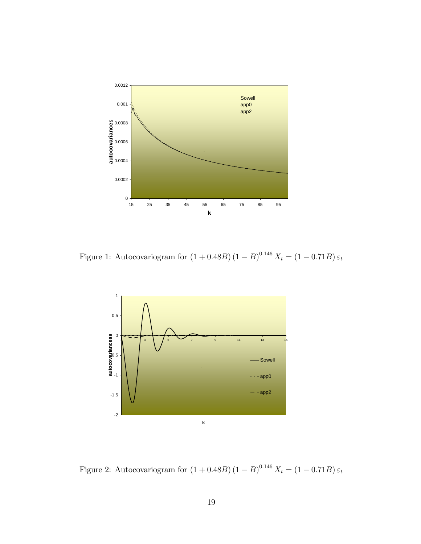

Figure 1: Autocovariogram for  $(1 + 0.48B) (1 - B)^{0.146} X_t = (1 - 0.71B) \varepsilon_t$ 



Figure 2: Autocovariogram for  $(1 + 0.48B) (1 - B)^{0.146} X_t = (1 - 0.71B) \varepsilon_t$